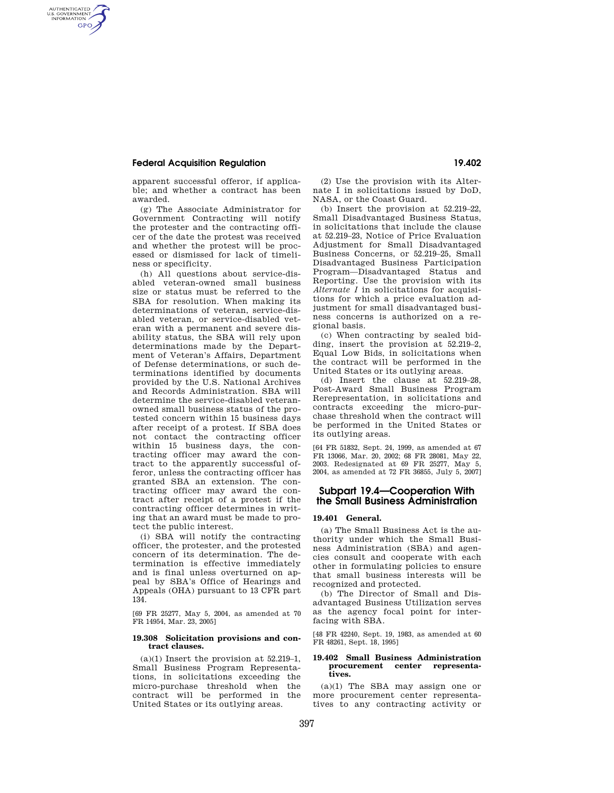## **Federal Acquisition Regulation 19.402**

AUTHENTICATED<br>U.S. GOVERNMENT<br>INFORMATION **GPO** 

> apparent successful offeror, if applicable; and whether a contract has been awarded.

> (g) The Associate Administrator for Government Contracting will notify the protester and the contracting officer of the date the protest was received and whether the protest will be processed or dismissed for lack of timeliness or specificity.

(h) All questions about service-disabled veteran-owned small business size or status must be referred to the SBA for resolution. When making its determinations of veteran, service-disabled veteran, or service-disabled veteran with a permanent and severe disability status, the SBA will rely upon determinations made by the Department of Veteran's Affairs, Department of Defense determinations, or such determinations identified by documents provided by the U.S. National Archives and Records Administration. SBA will determine the service-disabled veteranowned small business status of the protested concern within 15 business days after receipt of a protest. If SBA does not contact the contracting officer within 15 business days, the contracting officer may award the contract to the apparently successful offeror, unless the contracting officer has granted SBA an extension. The contracting officer may award the contract after receipt of a protest if the contracting officer determines in writing that an award must be made to protect the public interest.

(i) SBA will notify the contracting officer, the protester, and the protested concern of its determination. The determination is effective immediately and is final unless overturned on appeal by SBA's Office of Hearings and Appeals (OHA) pursuant to 13 CFR part 134.

[69 FR 25277, May 5, 2004, as amended at 70 FR 14954, Mar. 23, 2005]

## **19.308 Solicitation provisions and contract clauses.**

 $(a)(1)$  Insert the provision at  $52.219-1$ , Small Business Program Representations, in solicitations exceeding the micro-purchase threshold when the contract will be performed in the United States or its outlying areas.

(2) Use the provision with its Alternate I in solicitations issued by DoD, NASA, or the Coast Guard.

(b) Insert the provision at 52.219–22, Small Disadvantaged Business Status, in solicitations that include the clause at 52.219–23, Notice of Price Evaluation Adjustment for Small Disadvantaged Business Concerns, or 52.219–25, Small Disadvantaged Business Participation Program—Disadvantaged Status and Reporting. Use the provision with its *Alternate I* in solicitations for acquisitions for which a price evaluation adjustment for small disadvantaged business concerns is authorized on a regional basis.

(c) When contracting by sealed bidding, insert the provision at 52.219–2, Equal Low Bids, in solicitations when the contract will be performed in the United States or its outlying areas.

(d) Insert the clause at 52.219–28, Post-Award Small Business Program Rerepresentation, in solicitations and contracts exceeding the micro-purchase threshold when the contract will be performed in the United States or its outlying areas.

[64 FR 51832, Sept. 24, 1999, as amended at 67 FR 13066, Mar. 20, 2002; 68 FR 28081, May 22, 2003. Redesignated at 69 FR 25277, May 5, 2004, as amended at 72 FR 36855, July 5, 2007]

## **Subpart 19.4—Cooperation With the Small Business Administration**

## **19.401 General.**

(a) The Small Business Act is the authority under which the Small Business Administration (SBA) and agencies consult and cooperate with each other in formulating policies to ensure that small business interests will be recognized and protected.

(b) The Director of Small and Disadvantaged Business Utilization serves as the agency focal point for interfacing with SBA.

[48 FR 42240, Sept. 19, 1983, as amended at 60 FR 48261, Sept. 18, 1995]

# **19.402 Small Business Administration procurement center representa-tives.**

(a)(1) The SBA may assign one or more procurement center representatives to any contracting activity or